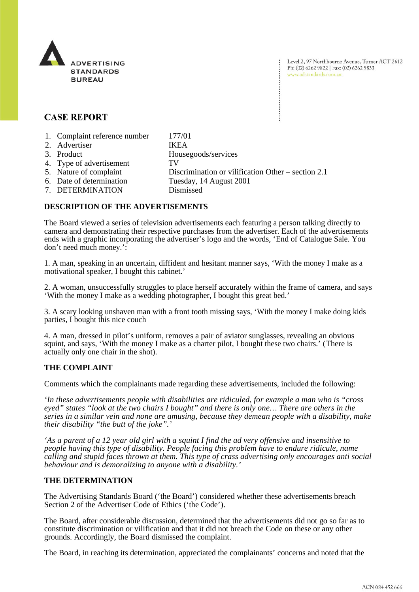

Level 2, 97 Northbourne Avenue, Turner ACT 2612 Ph: (02) 6262 9822 | Fax: (02) 6262 9833 www.adstandards.com.au

## **CASE REPORT**

| 1. Complaint reference number | 177/01                                               |
|-------------------------------|------------------------------------------------------|
| 2. Advertiser                 | <b>IKEA</b>                                          |
| 3. Product                    | Housegoods/services                                  |
| 4. Type of advertisement      | TV                                                   |
| 5. Nature of complaint        | Discrimination or vilification Other – section $2.1$ |
| 6. Date of determination      | Tuesday, 14 August 2001                              |
| 7. DETERMINATION              | Dismissed                                            |

## **DESCRIPTION OF THE ADVERTISEMENTS**

The Board viewed a series of television advertisements each featuring a person talking directly to camera and demonstrating their respective purchases from the advertiser. Each of the advertisements ends with a graphic incorporating the advertiser's logo and the words, 'End of Catalogue Sale. You don't need much money.':

1. A man, speaking in an uncertain, diffident and hesitant manner says, 'With the money I make as a motivational speaker, I bought this cabinet.'

2. A woman, unsuccessfully struggles to place herself accurately within the frame of camera, and says 'With the money I make as a wedding photographer, I bought this great bed.'

3. A scary looking unshaven man with a front tooth missing says, 'With the money I make doing kids parties, I bought this nice couch

4. A man, dressed in pilot's uniform, removes a pair of aviator sunglasses, revealing an obvious squint, and says, 'With the money I make as a charter pilot, I bought these two chairs.' (There is actually only one chair in the shot).

## **THE COMPLAINT**

Comments which the complainants made regarding these advertisements, included the following:

*'In these advertisements people with disabilities are ridiculed, for example a man who is "cross eyed" states "look at the two chairs I bought" and there is only one… There are others in the series in a similar vein and none are amusing, because they demean people with a disability, make their disability "the butt of the joke".'*

*'As a parent of a 12 year old girl with a squint I find the ad very offensive and insensitive to people having this type of disability. People facing this problem have to endure ridicule, name calling and stupid faces thrown at them. This type of crass advertising only encourages anti social behaviour and is demoralizing to anyone with a disability.'*

## **THE DETERMINATION**

The Advertising Standards Board ('the Board') considered whether these advertisements breach Section 2 of the Advertiser Code of Ethics ('the Code').

The Board, after considerable discussion, determined that the advertisements did not go so far as to constitute discrimination or vilification and that it did not breach the Code on these or any other grounds. Accordingly, the Board dismissed the complaint.

The Board, in reaching its determination, appreciated the complainants' concerns and noted that the